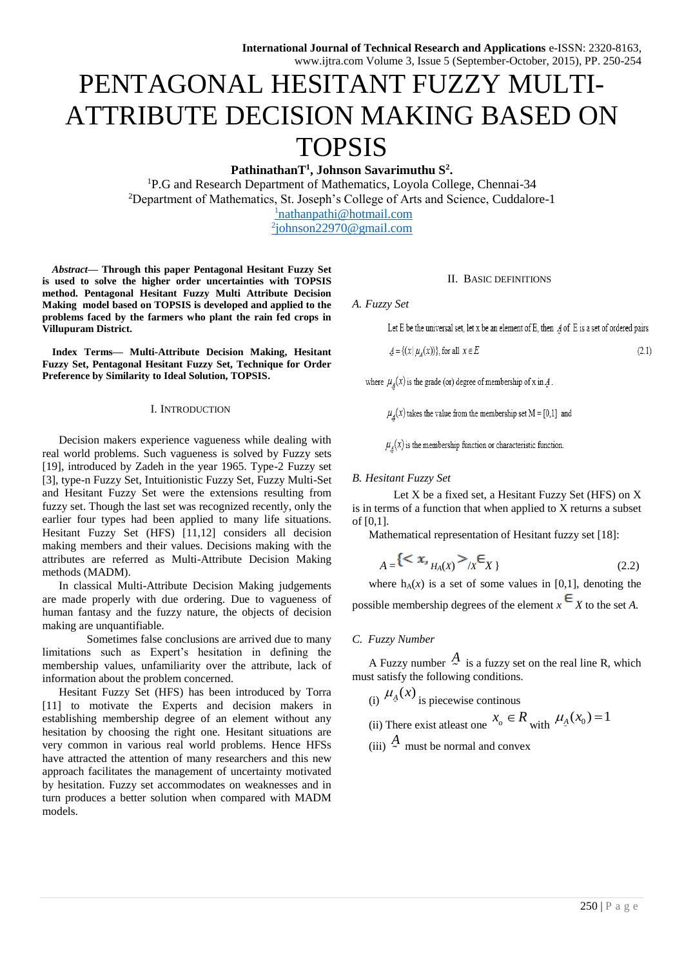# PENTAGONAL HESITANT FUZZY MULTI-ATTRIBUTE DECISION MAKING BASED ON TOPSIS

**PathinathanT<sup>1</sup> , Johnson Savarimuthu S<sup>2</sup> .**

<sup>1</sup>P.G and Research Department of Mathematics, Loyola College, Chennai-34 <sup>2</sup>Department of Mathematics, St. Joseph's College of Arts and Science, Cuddalore-1 <sup>1</sup>[nathanpathi@hotmail.com](mailto:1nathanpathi@hotmail.com)

2 [johnson22970@gmail.com](mailto:2johnson22970@gmail.com)

*Abstract***— Through this paper Pentagonal Hesitant Fuzzy Set is used to solve the higher order uncertainties with TOPSIS method. Pentagonal Hesitant Fuzzy Multi Attribute Decision Making model based on TOPSIS is developed and applied to the problems faced by the farmers who plant the rain fed crops in Villupuram District.** 

**Index Terms— Multi-Attribute Decision Making, Hesitant Fuzzy Set, Pentagonal Hesitant Fuzzy Set, Technique for Order Preference by Similarity to Ideal Solution, TOPSIS.**

#### I. INTRODUCTION

Decision makers experience vagueness while dealing with real world problems. Such vagueness is solved by Fuzzy sets [19], introduced by Zadeh in the year 1965. Type-2 Fuzzy set [3], type-n Fuzzy Set, Intuitionistic Fuzzy Set, Fuzzy Multi-Set and Hesitant Fuzzy Set were the extensions resulting from fuzzy set. Though the last set was recognized recently, only the earlier four types had been applied to many life situations. Hesitant Fuzzy Set (HFS) [11,12] considers all decision making members and their values. Decisions making with the attributes are referred as Multi-Attribute Decision Making methods (MADM).

In classical Multi-Attribute Decision Making judgements are made properly with due ordering. Due to vagueness of human fantasy and the fuzzy nature, the objects of decision making are unquantifiable.

 Sometimes false conclusions are arrived due to many limitations such as Expert's hesitation in defining the membership values, unfamiliarity over the attribute, lack of information about the problem concerned.

Hesitant Fuzzy Set (HFS) has been introduced by Torra [11] to motivate the Experts and decision makers in establishing membership degree of an element without any hesitation by choosing the right one. Hesitant situations are very common in various real world problems. Hence HFSs have attracted the attention of many researchers and this new approach facilitates the management of uncertainty motivated by hesitation. Fuzzy set accommodates on weaknesses and in turn produces a better solution when compared with MADM models.

#### II. BASIC DEFINITIONS

*A. Fuzzy Set*

Let E be the universal set, let x be an element of E, then  $A$  of E is a set of ordered pairs

$$
\mathcal{A} = \{(x | \mu_A(x))\}, \text{ for all } x \in E
$$
\n
$$
(2.1)
$$

where  $\mu_A(x)$  is the grade (or) degree of membership of x in A.

 $\mu_A(x)$  takes the value from the membership set M = [0,1] and

 $\mu_A(x)$  is the membership function or characteristic function.

## *B. Hesitant Fuzzy Set*

Let X be a fixed set, a Hesitant Fuzzy Set (HFS) on X is in terms of a function that when applied to X returns a subset of [0,1].

Mathematical representation of Hesitant fuzzy set [18]:

$$
A = \{ \langle x, H_A(x) \rangle / x \in X \} \tag{2.2}
$$

where  $h_A(x)$  is a set of some values in [0,1], denoting the possible membership degrees of the element  $x \in X$  to the set A.

#### *C. Fuzzy Number*

A Fuzzy number  $\frac{A}{A}$  is a fuzzy set on the real line R, which must satisfy the following conditions.

(i) 
$$
\mu_{A}(x)
$$
 is piecewise continuous

(ii) There exist at least one 
$$
x_0 \in R
$$
 with  $\mu_A(x_0) = 1$ 

(iii)  $\frac{A}{\gamma}$  must be normal and convex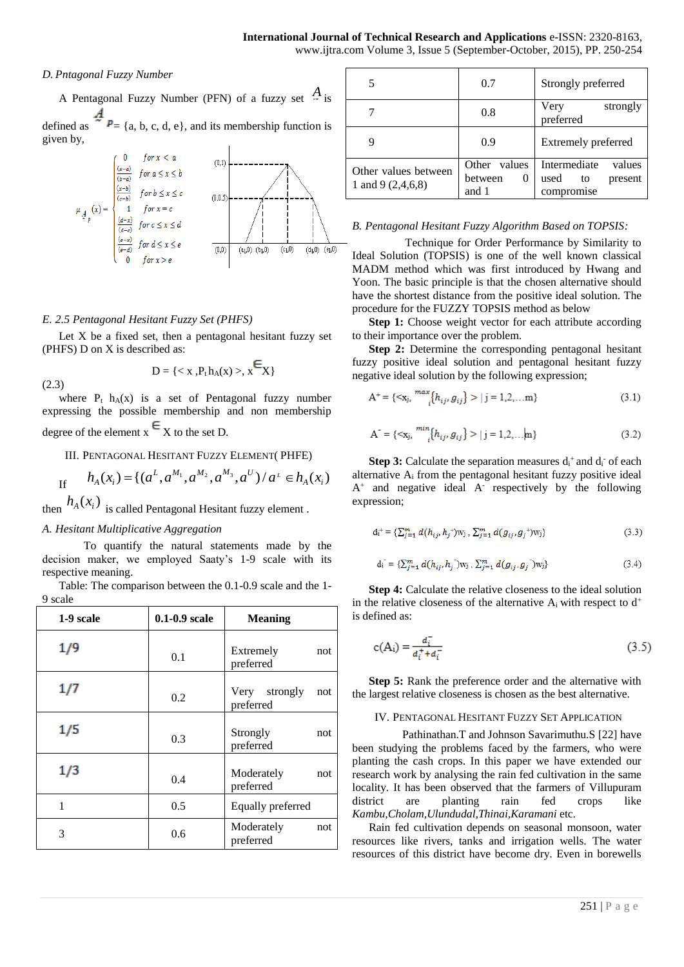# *D. Pntagonal Fuzzy Number*

A Pentagonal Fuzzy Number (PFN) of a fuzzy set *A* is defined as  $\stackrel{A}{\sim} P = \{a, b, c, d, e\}$ , and its membership function is given by,



## *E. 2.5 Pentagonal Hesitant Fuzzy Set (PHFS)*

Let  $X$  be a fixed set, then a pentagonal hesitant fuzzy set (PHFS) D on X is described as:

$$
D=\{,\,x\mathop{\bf\raisebox{-.9ex}{-}\hspace{-2.4ex}E}_{X}\}
$$

(2.3)

where  $P_t$  h<sub>A</sub>(x) is a set of Pentagonal fuzzy number expressing the possible membership and non membership degree of the element  $x \in X$  to the set D.

## III. PENTAGONAL HESITANT FUZZY ELEMENT( PHFE)

If 
$$
h_A(x_i) = \{(a^L, a^{M_1}, a^{M_2}, a^{M_3}, a^U)/a^L \in h_A(x_i)\}
$$

then  $h_A(x_i)$  is called Pentagonal Hesitant fuzzy element.

## *A. Hesitant Multiplicative Aggregation*

To quantify the natural statements made by the decision maker, we employed Saaty's 1-9 scale with its respective meaning.

Table: The comparison between the 0.1-0.9 scale and the 1- 9 scale

| 1-9 scale | $0.1 - 0.9$ scale | <b>Meaning</b>                    |  |
|-----------|-------------------|-----------------------------------|--|
| 1/9       | 0.1               | Extremely<br>not<br>preferred     |  |
| 1/7       | 0.2               | Very strongly<br>not<br>preferred |  |
| 1/5       | 0.3               | Strongly<br>not<br>preferred      |  |
| 1/3       | 0.4               | Moderately<br>not<br>preferred    |  |
| 1         | 0.5               | Equally preferred                 |  |
| 3         | 0.6               | Moderately<br>not<br>preferred    |  |

|                                             | 0.7                                   | Strongly preferred                              |  |
|---------------------------------------------|---------------------------------------|-------------------------------------------------|--|
|                                             | 0.8                                   | Very<br>strongly<br>preferred                   |  |
| Q                                           | 0.9                                   | Extremely preferred                             |  |
| Other values between<br>1 and 9 $(2,4,6,8)$ | Other values<br>between<br>0<br>and 1 | Intermediate<br>values<br>used<br>present<br>to |  |

## *B. Pentagonal Hesitant Fuzzy Algorithm Based on TOPSIS:*

 Technique for Order Performance by Similarity to Ideal Solution (TOPSIS) is one of the well known classical MADM method which was first introduced by Hwang and Yoon. The basic principle is that the chosen alternative should have the shortest distance from the positive ideal solution. The procedure for the FUZZY TOPSIS method as below

**Step 1:** Choose weight vector for each attribute according to their importance over the problem.

**Step 2:** Determine the corresponding pentagonal hesitant fuzzy positive ideal solution and pentagonal hesitant fuzzy negative ideal solution by the following expression;

$$
A^{+} = \{ \langle x_{j}, \frac{max}{i} \{ h_{ij}, g_{ij} \} \rangle | j = 1, 2, \dots m \}
$$
 (3.1)

$$
A^{\dagger} = \{ \langle x_j, \frac{min}{i} \{ h_{ij}, g_{ij} \} \rangle | j = 1, 2, \dots, m \}
$$
 (3.2)

**Step 3:** Calculate the separation measures  $d_i^+$  and  $d_i^-$  of each alternative Ai from the pentagonal hesitant fuzzy positive ideal A<sup>+</sup> and negative ideal A<sup>-</sup> respectively by the following expression;

$$
d_i^+ = \{ \sum_{j=1}^m d(h_{ij}, h_j^+) w_j , \sum_{j=1}^m d(g_{ij}, g_j^+) w_j \}
$$
 (3.3)

$$
d_i = \{ \sum_{j=1}^{m} d(h_{ij}, h_j) w_j, \sum_{j=1}^{m} d(g_{ij}, g_j) w_j \}
$$
(3.4)

**Step 4:** Calculate the relative closeness to the ideal solution in the relative closeness of the alternative  $A_i$  with respect to  $d^+$ is defined as:

$$
c(A_i) = \frac{d_i^-}{d_i^+ + d_i^-}
$$
\n(3.5)

**Step 5:** Rank the preference order and the alternative with the largest relative closeness is chosen as the best alternative.

#### IV. PENTAGONAL HESITANT FUZZY SET APPLICATION

 Pathinathan.T and Johnson Savarimuthu.S [22] have been studying the problems faced by the farmers, who were planting the cash crops. In this paper we have extended our research work by analysing the rain fed cultivation in the same locality. It has been observed that the farmers of Villupuram district are planting rain fed crops like *Kambu,Cholam,Ulundudal,Thinai,Karamani* etc.

Rain fed cultivation depends on seasonal monsoon, water resources like rivers, tanks and irrigation wells. The water resources of this district have become dry. Even in borewells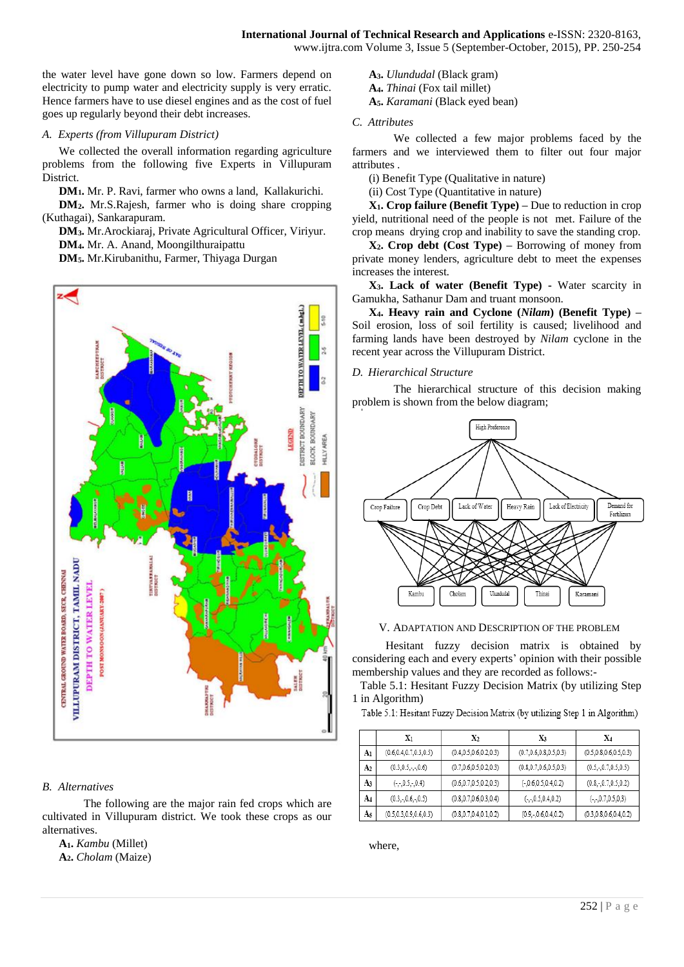the water level have gone down so low. Farmers depend on electricity to pump water and electricity supply is very erratic. Hence farmers have to use diesel engines and as the cost of fuel goes up regularly beyond their debt increases.

## *A. Experts (from Villupuram District)*

We collected the overall information regarding agriculture problems from the following five Experts in Villupuram District.

**DM1.** Mr. P. Ravi, farmer who owns a land, Kallakurichi.

**DM2.** Mr.S.Rajesh, farmer who is doing share cropping (Kuthagai), Sankarapuram.

**DM3.** Mr.Arockiaraj, Private Agricultural Officer, Viriyur. **DM4.** Mr. A. Anand, Moongilthuraipattu

**DM5.** Mr.Kirubanithu, Farmer, Thiyaga Durgan



# *B. Alternatives*

The following are the major rain fed crops which are cultivated in Villupuram district. We took these crops as our alternatives.

**A1.** *Kambu* (Millet) **A2.** *Cholam* (Maize) **A3.** *Ulundudal* (Black gram) **A4.** *Thinai* (Fox tail millet) **A5.** *Karamani* (Black eyed bean)

# *C. Attributes*

We collected a few major problems faced by the farmers and we interviewed them to filter out four major attributes .

(i) Benefit Type (Qualitative in nature)

(ii) Cost Type (Quantitative in nature)

**X1. Crop failure (Benefit Type) –** Due to reduction in crop yield, nutritional need of the people is not met. Failure of the crop means drying crop and inability to save the standing crop.

**X2. Crop debt (Cost Type) –** Borrowing of money from private money lenders, agriculture debt to meet the expenses increases the interest.

**X3. Lack of water (Benefit Type) -** Water scarcity in Gamukha, Sathanur Dam and truant monsoon.

**X4. Heavy rain and Cyclone (***Nilam***) (Benefit Type) –** Soil erosion, loss of soil fertility is caused; livelihood and farming lands have been destroyed by *Nilam* cyclone in the recent year across the Villupuram District.

# *D. Hierarchical Structure*

The hierarchical structure of this decision making problem is shown from the below diagram;



V. ADAPTATION AND DESCRIPTION OF THE PROBLEM

 Hesitant fuzzy decision matrix is obtained by considering each and every experts' opinion with their possible membership values and they are recorded as follows:-

Table 5.1: Hesitant Fuzzy Decision Matrix (by utilizing Step 1 in Algorithm)

Table 5.1: Hesitant Fuzzy Decision Matrix (by utilizing Step 1 in Algorithm)

|    | Xı                              | $X_2$                     | X3                        | X4                        |
|----|---------------------------------|---------------------------|---------------------------|---------------------------|
| Aı | (0.6, 0.4, 0.7, 0.3, 0.5)       | (0.4, 0.5, 0.6, 0.2, 0.3) | (0.7, 0.6, 0.8, 0.5, 0.3) | (0.5, 0.8, 0.6, 0.5, 0.3) |
| A2 | $(0.3, 0.5, \cdot, \cdot, 0.6)$ | (0.7, 0.6, 0.5, 0.2, 0.3) | (0.8, 0.7, 0.6, 0.5, 0.3) | (0.5, 0.7, 0.5, 0.5)      |
| A3 | $(-,-0.5,-0.4)$                 | (0.6, 0.7, 0.5, 0.2, 0.3) | $(-,0.6,0.5,0.4,0.2)$     | (0.8, 0.7, 0.5, 0.2)      |
| A4 | (0.3, 0.6, 0.5)                 | (0.8, 0.7, 0.6, 0.3, 0.4) | $(-,-0.5,0.4,0.2)$        | $(-, 0.7, 0.5, 0.3)$      |
| A5 | (0.5, 0.3, 0.9, 0.6, 0.3)       | (0.8, 0.7, 0.4, 0.1, 0.2) | (0.9, 0.6, 0.4, 0.2)      | (0.3, 0.8, 0.6, 0.4, 0.2) |

where,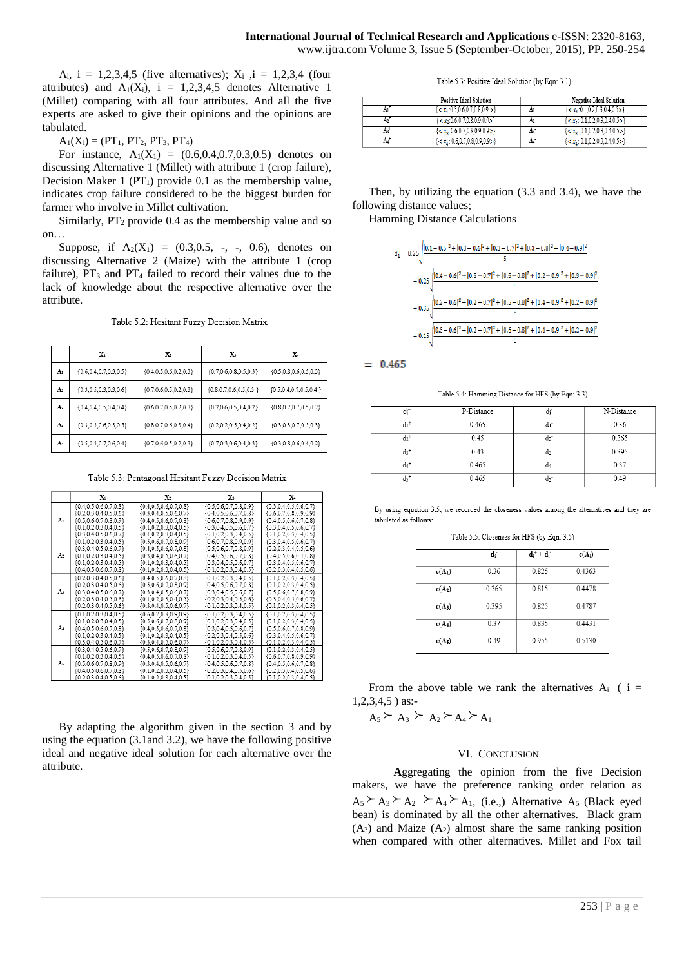A<sub>i</sub>,  $i = 1,2,3,4,5$  (five alternatives);  $X_i$ ,  $i = 1,2,3,4$  (four attributes) and  $A_1(X_i)$ , i = 1,2,3,4,5 denotes Alternative 1 (Millet) comparing with all four attributes. And all the five experts are asked to give their opinions and the opinions are tabulated.

#### $A_1(X_i) = (PT_1, PT_2, PT_3, PT_4)$

For instance,  $A_1(X_1) = (0.6, 0.4, 0.7, 0.3, 0.5)$  denotes on discussing Alternative 1 (Millet) with attribute 1 (crop failure), Decision Maker 1 ( $PT_1$ ) provide 0.1 as the membership value, indicates crop failure considered to be the biggest burden for farmer who involve in Millet cultivation.

Similarly,  $PT_2$  provide 0.4 as the membership value and so on…

Suppose, if  $A_2(X_1) = (0.3, 0.5, -, -, 0.6)$ , denotes on discussing Alternative 2 (Maize) with the attribute 1 (crop failure),  $PT_3$  and  $PT_4$  failed to record their values due to the lack of knowledge about the respective alternative over the attribute.

Table 5.2: Hesitant Fuzzy Decision Matrix

|    | X1                          | X <sub>2</sub>              | X3                          | X.                          |
|----|-----------------------------|-----------------------------|-----------------------------|-----------------------------|
| A  | ${0.6, 0.4, 0.7, 0.3, 0.5}$ | ${0.4, 0.5, 0.6, 0.2, 0.3}$ | ${0.7, 0.6, 0.8, 0.5, 0.3}$ | ${0.5, 0.8, 0.6, 0.5, 0.3}$ |
| A2 | ${0.3, 0.5, 0.3, 0.3, 0.6}$ | ${0.7, 0.6, 0.5, 0.2, 0.3}$ | ${0.8, 0.7, 0.6, 0.5, 0.3}$ | ${0.5, 0.4, 0.7, 0.5, 0.4}$ |
| As | ${0.4, 0.4, 0.5, 0.4, 0.4}$ | ${0.6, 0.7, 0.5, 0.2, 0.3}$ | ${0.2, 0.6, 0.5, 0.4, 0.2}$ | ${0.8, 0.2, 0.7, 0.5, 0.2}$ |
| A  | ${0.3, 0.3, 0.6, 0.3, 0.5}$ | ${0.8, 0.7, 0.6, 0.3, 0.4}$ | ${0.2, 0.2, 0.5, 0.4, 0.2}$ | ${0.3, 0.3, 0.7, 0.5, 0.3}$ |
| As | ${0.5, 0.3, 0.7, 0.6, 0.4}$ | ${0.7, 0.6, 0.5, 0.2, 0.3}$ | ${0.7, 0.3, 0.6, 0.4, 0.3}$ | ${0.3, 0.8, 0.6, 0.4, 0.2}$ |

Table 5.3: Pentagonal Hesitant Fuzzy Decision Matrix

|    | Xı                          | X,                          | X3                            | X.                          |
|----|-----------------------------|-----------------------------|-------------------------------|-----------------------------|
| A  | ${0.4, 0.5, 0.6, 0.7, 0.8}$ | ${0.4, 0.5, 0.6, 0.7, 0.8}$ | ${0.5, 0.6, 0.7, 0.8, 0.9}$   | ${0.3, 0.4, 0.5, 0.6, 0.7}$ |
|    | ${0.2, 0.3, 0.4, 0.5, 0.6}$ | ${0.3, 0.4, 0.5, 0.6, 0.7}$ | ${0.4, 0.5, 0.6, 0.7, 0.8}$   | ${0.6, 0.7, 0.8, 0.9, 0.9}$ |
|    | ${0.5, 0.6, 0.7, 0.8, 0.9}$ | ${0.4, 0.5, 0.6, 0.7, 0.8}$ | ${0.6, 0.7, 0.8, 0.9, 0.9}$   | ${0.4, 0.5, 0.6, 0.7, 0.8}$ |
|    | ${0.1, 0.2, 0.3, 0.4, 0.5}$ | ${0.1, 0.2, 0.3, 0.4, 0.5}$ | ${0.3, 0.4, 0.5, 0.6, 0.7}$   | ${0.3, 0.4, 0.5, 0.6, 0.7}$ |
|    | ${0.3.0.4.0.5.0.6.0.7}$     | ${0.1.0.2.0.3.0.4.0.5}$     | {0.1.0.2.0.3.0.4.0.5}         | ${0.1.0.2.0.3.0.4.0.5}$     |
| A2 | ${0.1, 0.2, 0.3, 0.4, 0.5}$ | ${0.5, 0.6, 0.7, 0.8, 0.9}$ | ${0.6, 0.7, 0.8, 0.9, 0.9}$   | ${0.3, 0.4, 0.5, 0.6, 0.7}$ |
|    | ${0.3, 0.4, 0.5, 0.6, 0.7}$ | ${0.4, 0.5, 0.6, 0.7, 0.8}$ | ${0.5, 0.6, 0.7, 0.8, 0.9}$   | ${0.2, 0.3, 0.4, 0.5, 0.6}$ |
|    | ${0.1, 0.2, 0.3, 0.4, 0.5}$ | ${0.3, 0.4, 0.5, 0.6, 0.7}$ | ${0.4, 0.5, 0.6, 0.7, 0.8}$   | ${0.4, 0.5, 0.6, 0.7, 0.8}$ |
|    | ${0.1, 0.2, 0.3, 0.4, 0.5}$ | ${0.1, 0.2, 0.3, 0.4, 0.5}$ | ${0.3, 0.4, 0.5, 0.6, 0.7}$   | ${0.3, 0.4, 0.5, 0.6, 0.7}$ |
|    | ${0.4.0.5.0.6.0.7.0.8}$     | {0.1.0.2.0.3.0.4.0.5}       | {0.1.0.2.0.3.0.4.0.5}         | {0.2.0.3.0.4.0.5.0.6}       |
| As | ${0.2, 0.3, 0.4, 0.5, 0.6}$ | ${0.4, 0.5, 0.6, 0.7, 0.8}$ | ${0.1, 0.2, 0.3, 0.4, 0.5}$   | ${0.1, 0.2, 0.3, 0.4, 0.5}$ |
|    | ${0.2, 0.3, 0.4, 0.5, 0.6}$ | ${0.5, 0.6, 0.7, 0.8, 0.9}$ | ${0.4, 0.5, 0.6, 0.7, 0.8}$   | ${0.1, 0.2, 0.3, 0.4, 0.5}$ |
|    | ${0.3, 0.4, 0.5, 0.6, 0.7}$ | ${0.3, 0.4, 0.5, 0.6, 0.7}$ | ${0.3, 0.4, 0.5, 0.6, 0.7}$   | ${0.5, 0.6, 0.7, 0.8, 0.9}$ |
|    | ${0.2, 0.3, 0.4, 0.5, 0.6}$ | ${0.1, 0.2, 0.3, 0.4, 0.5}$ | ${0.2, 0.3, 0.4, 0.5, 0.6}$   | ${0.3, 0.4, 0.5, 0.6, 0.7}$ |
|    | ${0.2, 0.3, 0.4, 0.5, 0.6}$ | ${0.3, 0.4, 0.5, 0.6, 0.7}$ | ${0.1, 0.2, 0.3, 0.4, 0.5}$   | ${0.1, 0.2, 0.3, 0.4, 0.5}$ |
| A4 | ${0.1, 0.2, 0.3, 0.4, 0.5}$ | ${0.6, 0.7, 0.8, 0.9, 0.9}$ | ${0.1, 0.2, 0.3, 0.4, 0.5}$   | ${0.1, 0.2, 0.3, 0.4, 0.5}$ |
|    | ${0.1, 0.2, 0.3, 0.4, 0.5}$ | ${0.5, 0.6, 0.7, 0.8, 0.9}$ | ${0.1, 0.2, 0.3, 0.4, 0.5}$   | ${0.1, 0.2, 0.3, 0.4, 0.5}$ |
|    | ${0.4, 0.5, 0.6, 0.7, 0.8}$ | ${0.4, 0.5, 0.6, 0.7, 0.8}$ | ${0.3, 0.4, 0.5, 0.6, 0.7}$   | ${0.5, 0.6, 0.7, 0.8, 0.9}$ |
|    | ${0.1, 0.2, 0.3, 0.4, 0.5}$ | ${0.1, 0.2, 0.3, 0.4, 0.5}$ | ${0.2, 0.3, 0.4, 0.5, 0.6}$   | ${0.3, 0.4, 0.5, 0.6, 0.7}$ |
|    | ${0.3, 0.4, 0.5, 0.6, 0.7}$ | ${0.3, 0.4, 0.5, 0.6, 0.7}$ | $\{0.1, 0.2, 0.3, 0.4, 0.5\}$ | ${0.1, 0.2, 0.3, 0.4, 0.5}$ |
| As | ${0.3, 0.4, 0.5, 0.6, 0.7}$ | ${0.5, 0.6, 0.7, 0.8, 0.9}$ | ${0.5, 0.6, 0.7, 0.8, 0.9}$   | ${0.1, 0.2, 0.3, 0.4, 0.5}$ |
|    | ${0.1, 0.2, 0.3, 0.4, 0.5}$ | ${0.4, 0.5, 0.6, 0.7, 0.8}$ | ${0.1, 0.2, 0.3, 0.4, 0.5}$   | ${0.6, 0.7, 0.8, 0.9, 0.9}$ |
|    | ${0.5, 0.6, 0.7, 0.8, 0.9}$ | ${0.3, 0.4, 0.5, 0.6, 0.7}$ | ${0.4, 0.5, 0.6, 0.7, 0.8}$   | ${0.4, 0.5, 0.6, 0.7, 0.8}$ |
|    | ${0.4, 0.5, 0.6, 0.7, 0.8}$ | ${0.1, 0.2, 0.3, 0.4, 0.5}$ | ${0.2, 0.3, 0.4, 0.5, 0.6}$   | ${0.2, 0.3, 0.4, 0.5, 0.6}$ |
|    | {0203040506}                | {0102030405}                | {0102030405}                  | {0102030405}                |

By adapting the algorithm given in the section 3 and by using the equation (3.1and 3.2), we have the following positive ideal and negative ideal solution for each alternative over the attribute.

Table 5.3: Positive Ideal Solution (by Eqn. 3.1)

|     | <b>Positive Ideal Solution</b>            |                | Negative Ideal Solution                       |
|-----|-------------------------------------------|----------------|-----------------------------------------------|
|     | ${< x_1:0.5,0.6,0.7,0.8,0.9>}$            | Ar             | $\{<\mathbf{x}_1:0.1,0.2,0.3,0.4,0.5>\}$      |
| A2' | $\langle x_2:0.6.0.7.0.8.0.9.0.9 \rangle$ | A <sub>2</sub> | $\{<\mathbf{x}_2: 0.1, 0.2, 0.3, 0.4, 0.5>\}$ |
| Aз  | $\{<\mathbf{x}_2:0.6,0.7,0.8,0.9,0.9>\}$  | As             | ${< x_2: 0.1, 0.2, 0.3, 0.4, 0.5>}$           |
|     | $\{x_4: 0.6, 0.7, 0.8, 0.9, 0.9\}$        | A              | $\{<\mathbf{x}_A: 0.1, 0.2, 0.3, 0.4, 0.5>\}$ |

Then, by utilizing the equation (3.3 and 3.4), we have the following distance values;

Hamming Distance Calculations



 $= 0.465$ 

Table 5.4: Hamming Distance for HFS (by Eqn: 3.3)

| $d_i^+$            | P-Distance | uı      | N-Distance |
|--------------------|------------|---------|------------|
| $d_1$ <sup>+</sup> | 0.465      | dı      | 0.36       |
| $d_2^+$            | 0.45       | d2°     | 0.365      |
| d3+                | 0.43       | $d_3$ - | 0.395      |
| d4+                | 0.465      | d4      | 0.37       |
| ds+                | 0.465      |         | 0.49       |

By using equation 3.5, we recorded the closeness values among the alternatives and they are tabulated as follows;

Table 5.5: Closeness for HFS (by Eqn: 3.5)

|          | ď     | $d_i^+ + d_i^-$ | $c(A_i)$ |
|----------|-------|-----------------|----------|
| $c(A_1)$ | 0.36  | 0.825           | 0.4363   |
| $c(A_2)$ | 0.365 | 0.815           | 0.4478   |
| $c(A_3)$ | 0.395 | 0.825           | 0.4787   |
| $c(A_4)$ | 0.37  | 0.835           | 0.4431   |
| $c(A_5)$ | 0.49  | 0.955           | 0.5130   |

From the above table we rank the alternatives  $A_i$  ( i = 1,2,3,4,5 ) as:-

 $A_5 \succeq A_3 \succeq A_2 \succeq A_4 \succeq A_1$ 

#### VI. CONCLUSION

**A**ggregating the opinion from the five Decision makers, we have the preference ranking order relation as  $A_5 \succeq A_3 \succeq A_2 \succeq A_4 \succeq A_1$ , (i.e.,) Alternative A<sub>5</sub> (Black eyed bean) is dominated by all the other alternatives. Black gram  $(A_3)$  and Maize  $(A_2)$  almost share the same ranking position when compared with other alternatives. Millet and Fox tail